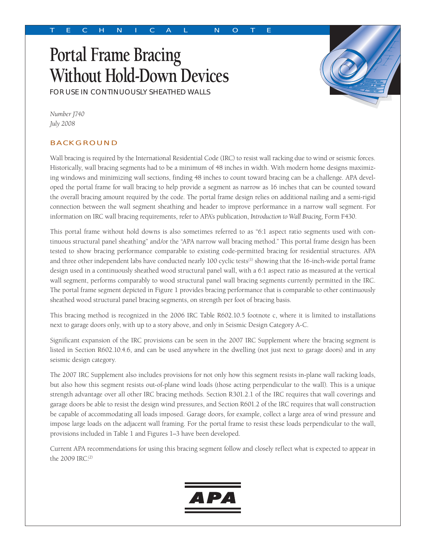# **Portal Frame Bracing Without Hold-Down Devices** FOR USE IN CONTINUOUSLY SHEATHED WALLS



*Number J740 July 2008* 

# BACKGROUND

Wall bracing is required by the International Residential Code (IRC) to resist wall racking due to wind or seismic forces. Historically, wall bracing segments had to be a minimum of 48 inches in width. With modern home designs maximizing windows and minimizing wall sections, finding 48 inches to count toward bracing can be a challenge. APA developed the portal frame for wall bracing to help provide a segment as narrow as 16 inches that can be counted toward the overall bracing amount required by the code. The portal frame design relies on additional nailing and a semi-rigid connection between the wall segment sheathing and header to improve performance in a narrow wall segment. For information on IRC wall bracing requirements, refer to APA's publication, *Introduction to Wall Bracing,* Form F430.

This portal frame without hold downs is also sometimes referred to as "6:1 aspect ratio segments used with continuous structural panel sheathing" and/or the "APA narrow wall bracing method." This portal frame design has been tested to show bracing performance comparable to existing code-permitted bracing for residential structures. APA and three other independent labs have conducted nearly 100 cyclic tests<sup>(1)</sup> showing that the 16-inch-wide portal frame design used in a continuously sheathed wood structural panel wall, with a 6:1 aspect ratio as measured at the vertical wall segment, performs comparably to wood structural panel wall bracing segments currently permitted in the IRC. The portal frame segment depicted in Figure 1 provides bracing performance that is comparable to other continuously sheathed wood structural panel bracing segments, on strength per foot of bracing basis.

This bracing method is recognized in the 2006 IRC Table R602.10.5 footnote c, where it is limited to installations next to garage doors only, with up to a story above, and only in Seismic Design Category A-C.

Significant expansion of the IRC provisions can be seen in the 2007 IRC Supplement where the bracing segment is listed in Section R602.10.4.6, and can be used anywhere in the dwelling (not just next to garage doors) and in any seismic design category.

The 2007 IRC Supplement also includes provisions for not only how this segment resists in-plane wall racking loads, but also how this segment resists out-of-plane wind loads (those acting perpendicular to the wall). This is a unique strength advantage over all other IRC bracing methods. Section R301.2.1 of the IRC requires that wall coverings and garage doors be able to resist the design wind pressures, and Section R601.2 of the IRC requires that wall construction be capable of accommodating all loads imposed. Garage doors, for example, collect a large area of wind pressure and impose large loads on the adjacent wall framing. For the portal frame to resist these loads perpendicular to the wall, provisions included in Table 1 and Figures 1–3 have been developed.

Current APA recommendations for using this bracing segment follow and closely reflect what is expected to appear in the 2009 IRC.<sup>(2)</sup>

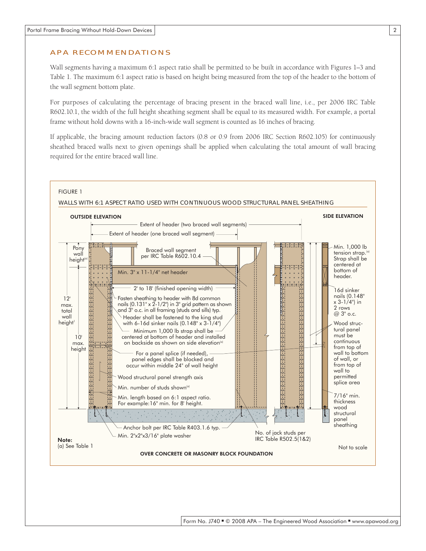### APA RECOMMENDATIONS

Wall segments having a maximum 6:1 aspect ratio shall be permitted to be built in accordance with Figures 1–3 and Table 1. The maximum 6:1 aspect ratio is based on height being measured from the top of the header to the bottom of the wall segment bottom plate.

For purposes of calculating the percentage of bracing present in the braced wall line, i.e., per 2006 IRC Table R602.10.1, the width of the full height sheathing segment shall be equal to its measured width. For example, a portal frame without hold downs with a 16-inch-wide wall segment is counted as 16 inches of bracing.

If applicable, the bracing amount reduction factors (0.8 or 0.9 from 2006 IRC Section R602.105) for continuously sheathed braced walls next to given openings shall be applied when calculating the total amount of wall bracing required for the entire braced wall line.

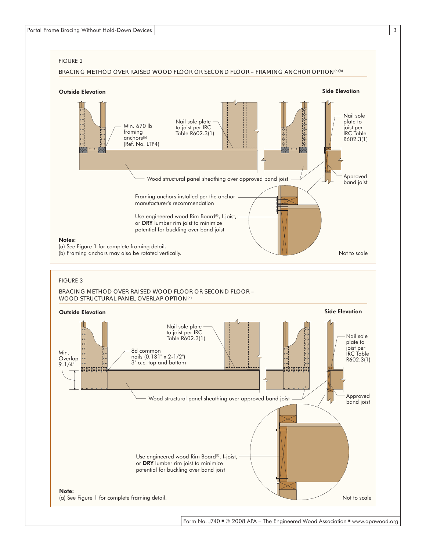



Form No. J740 ■ © 2008 APA – The Engineered Wood Association ■ www.apawood.org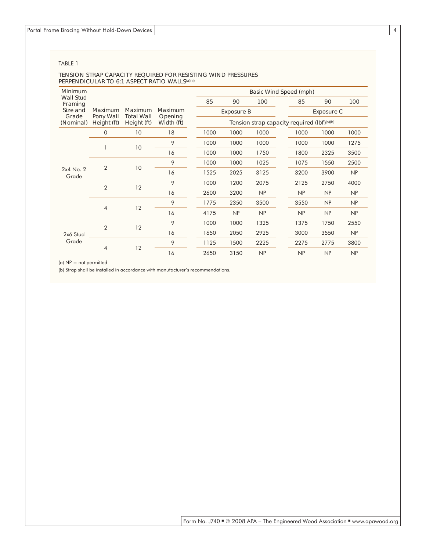#### TABLE 1

#### TENSION STRAP CAPACITY REQUIRED FOR RESISTING WIND PRESSURES PERPENDICULAR TO 6:1 ASPECT RATIO WALLS<sup>(a)(b)</sup>

| Minimum<br><b>Wall Stud</b><br>Framing<br>Size and<br>Grade<br>(Nominal) | Maximum<br>Pony Wall<br>Height (ft) | Maximum<br><b>Total Wall</b><br>Height (ft) | Maximum<br>Opening<br>Width (ft) | Basic Wind Speed (mph)                      |      |      |      |                   |      |  |
|--------------------------------------------------------------------------|-------------------------------------|---------------------------------------------|----------------------------------|---------------------------------------------|------|------|------|-------------------|------|--|
|                                                                          |                                     |                                             |                                  | 85                                          | 90   | 100  | 85   | 90                | 100  |  |
|                                                                          |                                     |                                             |                                  | <b>Exposure B</b>                           |      |      |      | <b>Exposure C</b> |      |  |
|                                                                          |                                     |                                             |                                  | Tension strap capacity required (lbf)(a)(b) |      |      |      |                   |      |  |
| $2x4$ No. 2<br>Grade                                                     | $\overline{0}$                      | 10                                          | 18                               | 1000                                        | 1000 | 1000 | 1000 | 1000              | 1000 |  |
|                                                                          |                                     | 10                                          | 9                                | 1000                                        | 1000 | 1000 | 1000 | 1000              | 1275 |  |
|                                                                          |                                     |                                             | 16                               | 1000                                        | 1000 | 1750 | 1800 | 2325              | 3500 |  |
|                                                                          | $\overline{2}$                      | 10                                          | 9                                | 1000                                        | 1000 | 1025 | 1075 | 1550              | 2500 |  |
|                                                                          |                                     |                                             | 16                               | 1525                                        | 2025 | 3125 | 3200 | 3900              | NP   |  |
|                                                                          | $\overline{2}$                      | 12                                          | 9                                | 1000                                        | 1200 | 2075 | 2125 | 2750              | 4000 |  |
|                                                                          |                                     |                                             | 16                               | 2600                                        | 3200 | NP   | NP   | NP                | NP   |  |
|                                                                          | $\overline{4}$                      | 12                                          | 9                                | 1775                                        | 2350 | 3500 | 3550 | NP                | NP   |  |
|                                                                          |                                     |                                             | 16                               | 4175                                        | NP   | NP   | NP   | NP                | NP   |  |
| 2x6 Stud<br>Grade                                                        | $\mathcal{P}$                       | 12                                          | 9                                | 1000                                        | 1000 | 1325 | 1375 | 1750              | 2550 |  |
|                                                                          |                                     |                                             | 16                               | 1650                                        | 2050 | 2925 | 3000 | 3550              | NP   |  |
|                                                                          | $\overline{4}$                      | 12                                          | 9                                | 1125                                        | 1500 | 2225 | 2275 | 2775              | 3800 |  |
|                                                                          |                                     |                                             | 16                               | 2650                                        | 3150 | NP   | NP   | NP                | NP   |  |

(a) NP = not permitted

(b) Strap shall be installed in accordance with manufacturer's recommendations.

4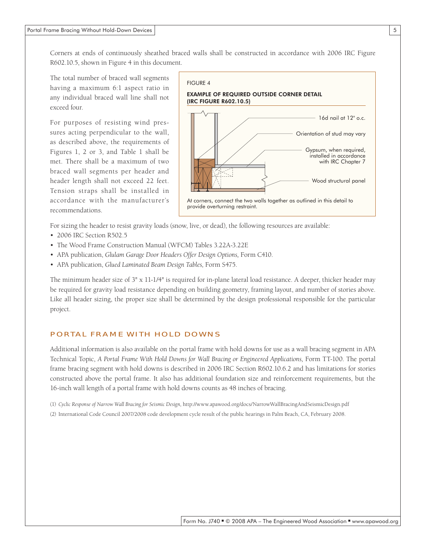Corners at ends of continuously sheathed braced walls shall be constructed in accordance with 2006 IRC Figure R602.10.5, shown in Figure 4 in this document.

The total number of braced wall segments having a maximum 6:1 aspect ratio in any individual braced wall line shall not exceed four.

For purposes of resisting wind pressures acting perpendicular to the wall, as described above, the requirements of Figures 1, 2 or 3, and Table 1 shall be met. There shall be a maximum of two braced wall segments per header and header length shall not exceed 22 feet. Tension straps shall be installed in accordance with the manufacturer's recommendations.



For sizing the header to resist gravity loads (snow, live, or dead), the following resources are available:

- 2006 IRC Section R502.5
- The Wood Frame Construction Manual (WFCM) Tables 3.22A-3.22E
- APA publication, *Glulam Garage Door Headers Offer Design Options*, Form C410.
- APA publication, *Glued Laminated Beam Design Tables,* Form S475.

The minimum header size of 3" x 11-1/4" is required for in-plane lateral load resistance. A deeper, thicker header may be required for gravity load resistance depending on building geometry, framing layout, and number of stories above. Like all header sizing, the proper size shall be determined by the design professional responsible for the particular project.

## PORTAL FRAME WITH HOLD DOWNS

Additional information is also available on the portal frame with hold downs for use as a wall bracing segment in APA Technical Topic, *A Portal Frame With Hold Downs for Wall Bracing or Engineered Applications, Form TT-100. The portal* frame bracing segment with hold downs is described in 2006 IRC Section R602.10.6.2 and has limitations for stories constructed above the portal frame. It also has additional foundation size and reinforcement requirements, but the 16-inch wall length of a portal frame with hold downs counts as 48 inches of bracing.

(1) *Cyclic Response of Narrow Wall Bracing for Seismic Design,* http://www.apawood.org/docs/NarrowWallBracingAndSeismicDesign.pdf (2) International Code Council 2007/2008 code development cycle result of the public hearings in Palm Beach, CA, February 2008.